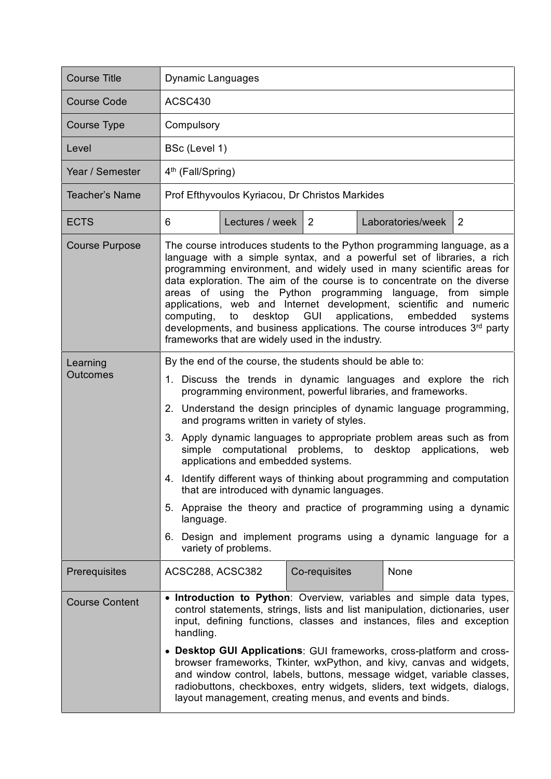| <b>Course Title</b>         | Dynamic Languages                                                                                                                                                                                                                                                                                                                                                                                                                                                                                                                                                                                                                                                                                                                                                                                           |
|-----------------------------|-------------------------------------------------------------------------------------------------------------------------------------------------------------------------------------------------------------------------------------------------------------------------------------------------------------------------------------------------------------------------------------------------------------------------------------------------------------------------------------------------------------------------------------------------------------------------------------------------------------------------------------------------------------------------------------------------------------------------------------------------------------------------------------------------------------|
| <b>Course Code</b>          | ACSC430                                                                                                                                                                                                                                                                                                                                                                                                                                                                                                                                                                                                                                                                                                                                                                                                     |
| Course Type                 | Compulsory                                                                                                                                                                                                                                                                                                                                                                                                                                                                                                                                                                                                                                                                                                                                                                                                  |
| Level                       | BSc (Level 1)                                                                                                                                                                                                                                                                                                                                                                                                                                                                                                                                                                                                                                                                                                                                                                                               |
| Year / Semester             | 4 <sup>th</sup> (Fall/Spring)                                                                                                                                                                                                                                                                                                                                                                                                                                                                                                                                                                                                                                                                                                                                                                               |
| <b>Teacher's Name</b>       | Prof Efthyvoulos Kyriacou, Dr Christos Markides                                                                                                                                                                                                                                                                                                                                                                                                                                                                                                                                                                                                                                                                                                                                                             |
| <b>ECTS</b>                 | Laboratories/week<br>$\overline{2}$<br>6<br>Lectures / week   2                                                                                                                                                                                                                                                                                                                                                                                                                                                                                                                                                                                                                                                                                                                                             |
| <b>Course Purpose</b>       | The course introduces students to the Python programming language, as a<br>language with a simple syntax, and a powerful set of libraries, a rich<br>programming environment, and widely used in many scientific areas for<br>data exploration. The aim of the course is to concentrate on the diverse<br>areas of using the Python programming language, from simple<br>applications, web and Internet development, scientific and numeric<br>desktop GUI applications, embedded<br>computing,<br>to<br>systems<br>developments, and business applications. The course introduces 3rd party<br>frameworks that are widely used in the industry.                                                                                                                                                            |
| Learning<br><b>Outcomes</b> | By the end of the course, the students should be able to:<br>1. Discuss the trends in dynamic languages and explore the rich<br>programming environment, powerful libraries, and frameworks.<br>2. Understand the design principles of dynamic language programming,<br>and programs written in variety of styles.<br>3. Apply dynamic languages to appropriate problem areas such as from<br>simple computational problems, to desktop applications,<br>web<br>applications and embedded systems.<br>4. Identify different ways of thinking about programming and computation<br>that are introduced with dynamic languages.<br>5. Appraise the theory and practice of programming using a dynamic<br>language.<br>6. Design and implement programs using a dynamic language for a<br>variety of problems. |
| Prerequisites               | Co-requisites<br>None<br>ACSC288, ACSC382                                                                                                                                                                                                                                                                                                                                                                                                                                                                                                                                                                                                                                                                                                                                                                   |
| <b>Course Content</b>       | • Introduction to Python: Overview, variables and simple data types,<br>control statements, strings, lists and list manipulation, dictionaries, user<br>input, defining functions, classes and instances, files and exception<br>handling.<br>• Desktop GUI Applications: GUI frameworks, cross-platform and cross-<br>browser frameworks, Tkinter, wxPython, and kivy, canvas and widgets,<br>and window control, labels, buttons, message widget, variable classes,<br>radiobuttons, checkboxes, entry widgets, sliders, text widgets, dialogs,<br>layout management, creating menus, and events and binds.                                                                                                                                                                                               |